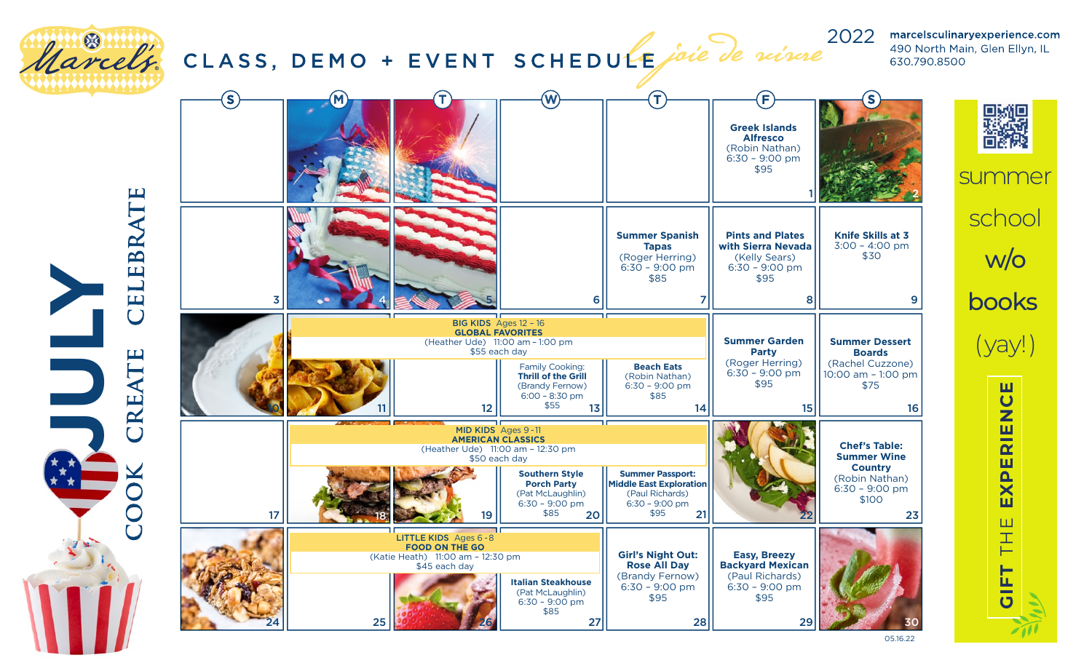

**JULY**

june july august 2021 2022 490 North Main, Glen Ellyn, IL 630.790.8500



with a Mar cel's s u m mer school online, by phone w/o books oolk (yay!) **GIFT** THE **EXPERIENCE** Registe red Class  $\overline{U}$  $\overline{\mathbf{z}}$  $\overline{\mathbf{E}}$  $\overline{\mathbf{r}}$ are per person No refunds or credits in <sub>1</sub> to the class. Ш 工 H ĹL.

Give the gift of a Classic

05.16.22